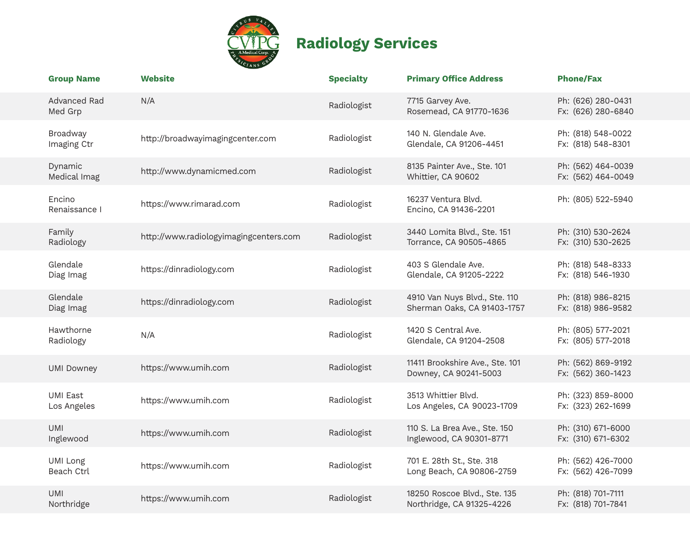

## **Radiology Services**

| <b>Group Name</b>        | <b>Website</b>                         | <b>Specialty</b> | <b>Primary Office Address</b>                                | <b>Phone/Fax</b>                         |
|--------------------------|----------------------------------------|------------------|--------------------------------------------------------------|------------------------------------------|
| Advanced Rad<br>Med Grp  | N/A                                    | Radiologist      | 7715 Garvey Ave.<br>Rosemead, CA 91770-1636                  | Ph: (626) 280-0431<br>Fx: (626) 280-6840 |
| Broadway<br>Imaging Ctr  | http://broadwayimagingcenter.com       | Radiologist      | 140 N. Glendale Ave.<br>Glendale, CA 91206-4451              | Ph: (818) 548-0022<br>Fx: (818) 548-8301 |
| Dynamic<br>Medical Imag  | http://www.dynamicmed.com              | Radiologist      | 8135 Painter Ave., Ste. 101<br>Whittier, CA 90602            | Ph: (562) 464-0039<br>Fx: (562) 464-0049 |
| Encino<br>Renaissance I  | https://www.rimarad.com                | Radiologist      | 16237 Ventura Blyd.<br>Encino, CA 91436-2201                 | Ph: (805) 522-5940                       |
| Family<br>Radiology      | http://www.radiologyimagingcenters.com | Radiologist      | 3440 Lomita Blvd., Ste. 151<br>Torrance, CA 90505-4865       | Ph: (310) 530-2624<br>Fx: (310) 530-2625 |
| Glendale<br>Diag Imag    | https://dinradiology.com               | Radiologist      | 403 S Glendale Ave.<br>Glendale, CA 91205-2222               | Ph: (818) 548-8333<br>Fx: (818) 546-1930 |
| Glendale<br>Diag Imag    | https://dinradiology.com               | Radiologist      | 4910 Van Nuys Blvd., Ste. 110<br>Sherman Oaks, CA 91403-1757 | Ph: (818) 986-8215<br>Fx: (818) 986-9582 |
| Hawthorne<br>Radiology   | N/A                                    | Radiologist      | 1420 S Central Ave.<br>Glendale, CA 91204-2508               | Ph: (805) 577-2021<br>Fx: (805) 577-2018 |
| <b>UMI Downey</b>        | https://www.umih.com                   | Radiologist      | 11411 Brookshire Ave., Ste. 101<br>Downey, CA 90241-5003     | Ph: (562) 869-9192<br>Fx: (562) 360-1423 |
| UMI East<br>Los Angeles  | https://www.umih.com                   | Radiologist      | 3513 Whittier Blvd.<br>Los Angeles, CA 90023-1709            | Ph: (323) 859-8000<br>Fx: (323) 262-1699 |
| <b>UMI</b><br>Inglewood  | https://www.umih.com                   | Radiologist      | 110 S. La Brea Ave., Ste. 150<br>Inglewood, CA 90301-8771    | Ph: (310) 671-6000<br>Fx: (310) 671-6302 |
| UMI Long<br>Beach Ctrl   | https://www.umih.com                   | Radiologist      | 701 E. 28th St., Ste. 318<br>Long Beach, CA 90806-2759       | Ph: (562) 426-7000<br>Fx: (562) 426-7099 |
| <b>UMI</b><br>Northridge | https://www.umih.com                   | Radiologist      | 18250 Roscoe Blvd., Ste. 135<br>Northridge, CA 91325-4226    | Ph: (818) 701-7111<br>Fx: (818) 701-7841 |